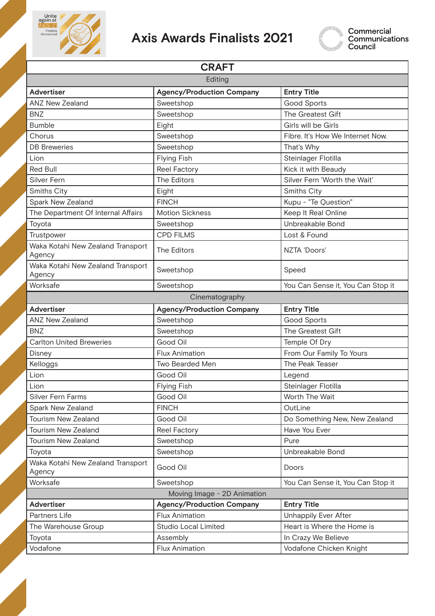

## **Axis Awards Finalists 2021**



| <b>CRAFT</b>                                |                                  |                                   |
|---------------------------------------------|----------------------------------|-----------------------------------|
| Editing                                     |                                  |                                   |
| <b>Advertiser</b>                           | <b>Agency/Production Company</b> | <b>Entry Title</b>                |
| <b>ANZ New Zealand</b>                      | Sweetshop                        | <b>Good Sports</b>                |
| <b>BNZ</b>                                  | Sweetshop                        | The Greatest Gift                 |
| <b>Bumble</b>                               | Eight                            | Girls will be Girls               |
| Chorus                                      | Sweetshop                        | Fibre. It's How We Internet Now.  |
| <b>DB</b> Breweries                         | Sweetshop                        | That's Why                        |
| Lion                                        | <b>Flying Fish</b>               | Steinlager Flotilla               |
| <b>Red Bull</b>                             | Reel Factory                     | Kick it with Beaudy               |
| Silver Fern                                 | <b>The Editors</b>               | Silver Fern 'Worth the Wait'      |
| Smiths City                                 | Eight                            | Smiths City                       |
| Spark New Zealand                           | <b>FINCH</b>                     | Kupu - "Te Question"              |
| The Department Of Internal Affairs          | <b>Motion Sickness</b>           | Keep It Real Online               |
| Toyota                                      | Sweetshop                        | Unbreakable Bond                  |
| Trustpower                                  | <b>CPD FILMS</b>                 | Lost & Found                      |
| Waka Kotahi New Zealand Transport<br>Agency | The Editors                      | NZTA 'Doors'                      |
| Waka Kotahi New Zealand Transport<br>Agency | Sweetshop                        | Speed                             |
| Worksafe                                    | Sweetshop                        | You Can Sense it, You Can Stop it |
|                                             | Cinematography                   |                                   |
| <b>Advertiser</b>                           | <b>Agency/Production Company</b> | <b>Entry Title</b>                |
| <b>ANZ New Zealand</b>                      | Sweetshop                        | <b>Good Sports</b>                |
| <b>BNZ</b>                                  | Sweetshop                        | The Greatest Gift                 |
| <b>Carlton United Breweries</b>             | Good Oil                         | Temple Of Dry                     |
| Disney                                      | <b>Flux Animation</b>            | From Our Family To Yours          |
| Kelloggs                                    | <b>Two Bearded Men</b>           | The Peak Teaser                   |
| Lion                                        | Good Oil                         | Legend                            |
| Lion                                        | <b>Flying Fish</b>               | Steinlager Flotilla               |
| Silver Fern Farms                           | Good Oil                         | Worth The Wait                    |
| Spark New Zealand                           | <b>FINCH</b>                     | OutLine                           |
| <b>Tourism New Zealand</b>                  | Good Oil                         | Do Something New, New Zealand     |
| Tourism New Zealand                         | <b>Reel Factory</b>              | Have You Ever                     |
| Tourism New Zealand                         | Sweetshop                        | Pure                              |
| Toyota                                      | Sweetshop                        | Unbreakable Bond                  |
| Waka Kotahi New Zealand Transport<br>Agency | Good Oil                         | Doors                             |
| Worksafe                                    | Sweetshop                        | You Can Sense it, You Can Stop it |
| Moving Image - 2D Animation                 |                                  |                                   |
| <b>Advertiser</b>                           | <b>Agency/Production Company</b> | <b>Entry Title</b>                |
| Partners Life                               | <b>Flux Animation</b>            | <b>Unhappily Ever After</b>       |
| The Warehouse Group                         | <b>Studio Local Limited</b>      | Heart is Where the Home is        |
| Toyota                                      | Assembly                         | In Crazy We Believe               |
| Vodafone                                    | <b>Flux Animation</b>            | Vodafone Chicken Knight           |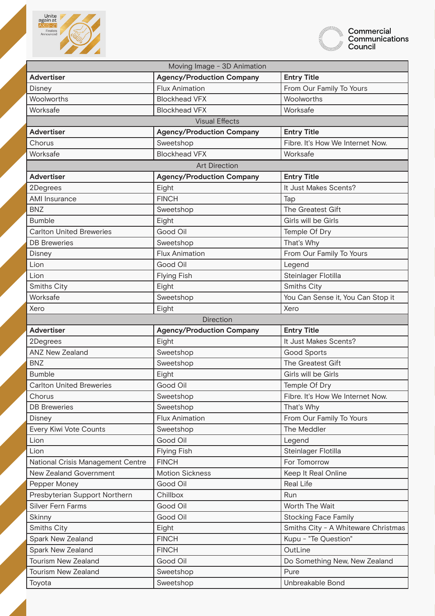



| <b>Agency/Production Company</b><br><b>Entry Title</b><br><b>Advertiser</b><br>From Our Family To Yours<br><b>Flux Animation</b><br>Disney<br>Woolworths<br><b>Blockhead VFX</b><br>Woolworths<br>Worksafe<br>Worksafe<br><b>Blockhead VFX</b><br><b>Visual Effects</b><br><b>Entry Title</b><br><b>Advertiser</b><br><b>Agency/Production Company</b><br>Fibre, It's How We Internet Now.<br>Chorus<br>Sweetshop<br><b>Blockhead VFX</b><br>Worksafe<br>Worksafe<br><b>Art Direction</b><br><b>Entry Title</b><br><b>Advertiser</b><br><b>Agency/Production Company</b><br>Eight<br>It Just Makes Scents?<br>2Degrees<br><b>FINCH</b><br><b>AMI</b> Insurance<br>Tap<br><b>BNZ</b><br>The Greatest Gift<br>Sweetshop<br><b>Bumble</b><br>Girls will be Girls<br>Eight<br>Good Oil<br><b>Carlton United Breweries</b><br>Temple Of Dry<br>That's Why<br><b>DB</b> Breweries<br>Sweetshop<br><b>Flux Animation</b><br>From Our Family To Yours<br>Disney<br>Lion<br>Good Oil<br>Legend<br>Steinlager Flotilla<br>Lion<br><b>Flying Fish</b><br>Smiths City<br>Eight<br><b>Smiths City</b><br>Worksafe<br>Sweetshop<br>You Can Sense it, You Can Stop it<br>Xero<br>Xero<br>Eight<br><b>Direction</b><br><b>Entry Title</b><br><b>Advertiser</b><br><b>Agency/Production Company</b><br>It Just Makes Scents?<br>Eight<br>2Degrees<br><b>ANZ New Zealand</b><br>Sweetshop<br><b>Good Sports</b><br>The Greatest Gift<br><b>BNZ</b><br>Sweetshop<br><b>Bumble</b><br>Eight<br>Girls will be Girls<br>Good Oil<br>Temple Of Dry<br><b>Carlton United Breweries</b><br>Chorus<br>Sweetshop<br>Fibre. It's How We Internet Now.<br>Sweetshop<br>That's Why<br><b>DB</b> Breweries<br>From Our Family To Yours<br><b>Flux Animation</b><br>Disney<br>Every Kiwi Vote Counts<br>Sweetshop<br>The Meddler<br>Good Oil<br>Lion<br>Legend<br>Steinlager Flotilla<br><b>Flying Fish</b><br>Lion<br>For Tomorrow<br>National Crisis Management Centre<br><b>FINCH</b><br>New Zealand Government<br><b>Motion Sickness</b><br>Keep It Real Online<br><b>Real Life</b><br>Good Oil<br>Pepper Money<br>Presbyterian Support Northern<br>Chillbox<br>Run<br>Silver Fern Farms<br>Good Oil<br>Worth The Wait<br><b>Stocking Face Family</b> |
|---------------------------------------------------------------------------------------------------------------------------------------------------------------------------------------------------------------------------------------------------------------------------------------------------------------------------------------------------------------------------------------------------------------------------------------------------------------------------------------------------------------------------------------------------------------------------------------------------------------------------------------------------------------------------------------------------------------------------------------------------------------------------------------------------------------------------------------------------------------------------------------------------------------------------------------------------------------------------------------------------------------------------------------------------------------------------------------------------------------------------------------------------------------------------------------------------------------------------------------------------------------------------------------------------------------------------------------------------------------------------------------------------------------------------------------------------------------------------------------------------------------------------------------------------------------------------------------------------------------------------------------------------------------------------------------------------------------------------------------------------------------------------------------------------------------------------------------------------------------------------------------------------------------------------------------------------------------------------------------------------------------------------------------------------------------------------------------------------------------------------------------------------------------------------------------------------------------------------|
|                                                                                                                                                                                                                                                                                                                                                                                                                                                                                                                                                                                                                                                                                                                                                                                                                                                                                                                                                                                                                                                                                                                                                                                                                                                                                                                                                                                                                                                                                                                                                                                                                                                                                                                                                                                                                                                                                                                                                                                                                                                                                                                                                                                                                           |
|                                                                                                                                                                                                                                                                                                                                                                                                                                                                                                                                                                                                                                                                                                                                                                                                                                                                                                                                                                                                                                                                                                                                                                                                                                                                                                                                                                                                                                                                                                                                                                                                                                                                                                                                                                                                                                                                                                                                                                                                                                                                                                                                                                                                                           |
|                                                                                                                                                                                                                                                                                                                                                                                                                                                                                                                                                                                                                                                                                                                                                                                                                                                                                                                                                                                                                                                                                                                                                                                                                                                                                                                                                                                                                                                                                                                                                                                                                                                                                                                                                                                                                                                                                                                                                                                                                                                                                                                                                                                                                           |
|                                                                                                                                                                                                                                                                                                                                                                                                                                                                                                                                                                                                                                                                                                                                                                                                                                                                                                                                                                                                                                                                                                                                                                                                                                                                                                                                                                                                                                                                                                                                                                                                                                                                                                                                                                                                                                                                                                                                                                                                                                                                                                                                                                                                                           |
|                                                                                                                                                                                                                                                                                                                                                                                                                                                                                                                                                                                                                                                                                                                                                                                                                                                                                                                                                                                                                                                                                                                                                                                                                                                                                                                                                                                                                                                                                                                                                                                                                                                                                                                                                                                                                                                                                                                                                                                                                                                                                                                                                                                                                           |
|                                                                                                                                                                                                                                                                                                                                                                                                                                                                                                                                                                                                                                                                                                                                                                                                                                                                                                                                                                                                                                                                                                                                                                                                                                                                                                                                                                                                                                                                                                                                                                                                                                                                                                                                                                                                                                                                                                                                                                                                                                                                                                                                                                                                                           |
|                                                                                                                                                                                                                                                                                                                                                                                                                                                                                                                                                                                                                                                                                                                                                                                                                                                                                                                                                                                                                                                                                                                                                                                                                                                                                                                                                                                                                                                                                                                                                                                                                                                                                                                                                                                                                                                                                                                                                                                                                                                                                                                                                                                                                           |
|                                                                                                                                                                                                                                                                                                                                                                                                                                                                                                                                                                                                                                                                                                                                                                                                                                                                                                                                                                                                                                                                                                                                                                                                                                                                                                                                                                                                                                                                                                                                                                                                                                                                                                                                                                                                                                                                                                                                                                                                                                                                                                                                                                                                                           |
|                                                                                                                                                                                                                                                                                                                                                                                                                                                                                                                                                                                                                                                                                                                                                                                                                                                                                                                                                                                                                                                                                                                                                                                                                                                                                                                                                                                                                                                                                                                                                                                                                                                                                                                                                                                                                                                                                                                                                                                                                                                                                                                                                                                                                           |
|                                                                                                                                                                                                                                                                                                                                                                                                                                                                                                                                                                                                                                                                                                                                                                                                                                                                                                                                                                                                                                                                                                                                                                                                                                                                                                                                                                                                                                                                                                                                                                                                                                                                                                                                                                                                                                                                                                                                                                                                                                                                                                                                                                                                                           |
|                                                                                                                                                                                                                                                                                                                                                                                                                                                                                                                                                                                                                                                                                                                                                                                                                                                                                                                                                                                                                                                                                                                                                                                                                                                                                                                                                                                                                                                                                                                                                                                                                                                                                                                                                                                                                                                                                                                                                                                                                                                                                                                                                                                                                           |
|                                                                                                                                                                                                                                                                                                                                                                                                                                                                                                                                                                                                                                                                                                                                                                                                                                                                                                                                                                                                                                                                                                                                                                                                                                                                                                                                                                                                                                                                                                                                                                                                                                                                                                                                                                                                                                                                                                                                                                                                                                                                                                                                                                                                                           |
|                                                                                                                                                                                                                                                                                                                                                                                                                                                                                                                                                                                                                                                                                                                                                                                                                                                                                                                                                                                                                                                                                                                                                                                                                                                                                                                                                                                                                                                                                                                                                                                                                                                                                                                                                                                                                                                                                                                                                                                                                                                                                                                                                                                                                           |
|                                                                                                                                                                                                                                                                                                                                                                                                                                                                                                                                                                                                                                                                                                                                                                                                                                                                                                                                                                                                                                                                                                                                                                                                                                                                                                                                                                                                                                                                                                                                                                                                                                                                                                                                                                                                                                                                                                                                                                                                                                                                                                                                                                                                                           |
|                                                                                                                                                                                                                                                                                                                                                                                                                                                                                                                                                                                                                                                                                                                                                                                                                                                                                                                                                                                                                                                                                                                                                                                                                                                                                                                                                                                                                                                                                                                                                                                                                                                                                                                                                                                                                                                                                                                                                                                                                                                                                                                                                                                                                           |
|                                                                                                                                                                                                                                                                                                                                                                                                                                                                                                                                                                                                                                                                                                                                                                                                                                                                                                                                                                                                                                                                                                                                                                                                                                                                                                                                                                                                                                                                                                                                                                                                                                                                                                                                                                                                                                                                                                                                                                                                                                                                                                                                                                                                                           |
|                                                                                                                                                                                                                                                                                                                                                                                                                                                                                                                                                                                                                                                                                                                                                                                                                                                                                                                                                                                                                                                                                                                                                                                                                                                                                                                                                                                                                                                                                                                                                                                                                                                                                                                                                                                                                                                                                                                                                                                                                                                                                                                                                                                                                           |
|                                                                                                                                                                                                                                                                                                                                                                                                                                                                                                                                                                                                                                                                                                                                                                                                                                                                                                                                                                                                                                                                                                                                                                                                                                                                                                                                                                                                                                                                                                                                                                                                                                                                                                                                                                                                                                                                                                                                                                                                                                                                                                                                                                                                                           |
|                                                                                                                                                                                                                                                                                                                                                                                                                                                                                                                                                                                                                                                                                                                                                                                                                                                                                                                                                                                                                                                                                                                                                                                                                                                                                                                                                                                                                                                                                                                                                                                                                                                                                                                                                                                                                                                                                                                                                                                                                                                                                                                                                                                                                           |
|                                                                                                                                                                                                                                                                                                                                                                                                                                                                                                                                                                                                                                                                                                                                                                                                                                                                                                                                                                                                                                                                                                                                                                                                                                                                                                                                                                                                                                                                                                                                                                                                                                                                                                                                                                                                                                                                                                                                                                                                                                                                                                                                                                                                                           |
|                                                                                                                                                                                                                                                                                                                                                                                                                                                                                                                                                                                                                                                                                                                                                                                                                                                                                                                                                                                                                                                                                                                                                                                                                                                                                                                                                                                                                                                                                                                                                                                                                                                                                                                                                                                                                                                                                                                                                                                                                                                                                                                                                                                                                           |
|                                                                                                                                                                                                                                                                                                                                                                                                                                                                                                                                                                                                                                                                                                                                                                                                                                                                                                                                                                                                                                                                                                                                                                                                                                                                                                                                                                                                                                                                                                                                                                                                                                                                                                                                                                                                                                                                                                                                                                                                                                                                                                                                                                                                                           |
|                                                                                                                                                                                                                                                                                                                                                                                                                                                                                                                                                                                                                                                                                                                                                                                                                                                                                                                                                                                                                                                                                                                                                                                                                                                                                                                                                                                                                                                                                                                                                                                                                                                                                                                                                                                                                                                                                                                                                                                                                                                                                                                                                                                                                           |
|                                                                                                                                                                                                                                                                                                                                                                                                                                                                                                                                                                                                                                                                                                                                                                                                                                                                                                                                                                                                                                                                                                                                                                                                                                                                                                                                                                                                                                                                                                                                                                                                                                                                                                                                                                                                                                                                                                                                                                                                                                                                                                                                                                                                                           |
|                                                                                                                                                                                                                                                                                                                                                                                                                                                                                                                                                                                                                                                                                                                                                                                                                                                                                                                                                                                                                                                                                                                                                                                                                                                                                                                                                                                                                                                                                                                                                                                                                                                                                                                                                                                                                                                                                                                                                                                                                                                                                                                                                                                                                           |
|                                                                                                                                                                                                                                                                                                                                                                                                                                                                                                                                                                                                                                                                                                                                                                                                                                                                                                                                                                                                                                                                                                                                                                                                                                                                                                                                                                                                                                                                                                                                                                                                                                                                                                                                                                                                                                                                                                                                                                                                                                                                                                                                                                                                                           |
|                                                                                                                                                                                                                                                                                                                                                                                                                                                                                                                                                                                                                                                                                                                                                                                                                                                                                                                                                                                                                                                                                                                                                                                                                                                                                                                                                                                                                                                                                                                                                                                                                                                                                                                                                                                                                                                                                                                                                                                                                                                                                                                                                                                                                           |
|                                                                                                                                                                                                                                                                                                                                                                                                                                                                                                                                                                                                                                                                                                                                                                                                                                                                                                                                                                                                                                                                                                                                                                                                                                                                                                                                                                                                                                                                                                                                                                                                                                                                                                                                                                                                                                                                                                                                                                                                                                                                                                                                                                                                                           |
|                                                                                                                                                                                                                                                                                                                                                                                                                                                                                                                                                                                                                                                                                                                                                                                                                                                                                                                                                                                                                                                                                                                                                                                                                                                                                                                                                                                                                                                                                                                                                                                                                                                                                                                                                                                                                                                                                                                                                                                                                                                                                                                                                                                                                           |
|                                                                                                                                                                                                                                                                                                                                                                                                                                                                                                                                                                                                                                                                                                                                                                                                                                                                                                                                                                                                                                                                                                                                                                                                                                                                                                                                                                                                                                                                                                                                                                                                                                                                                                                                                                                                                                                                                                                                                                                                                                                                                                                                                                                                                           |
|                                                                                                                                                                                                                                                                                                                                                                                                                                                                                                                                                                                                                                                                                                                                                                                                                                                                                                                                                                                                                                                                                                                                                                                                                                                                                                                                                                                                                                                                                                                                                                                                                                                                                                                                                                                                                                                                                                                                                                                                                                                                                                                                                                                                                           |
|                                                                                                                                                                                                                                                                                                                                                                                                                                                                                                                                                                                                                                                                                                                                                                                                                                                                                                                                                                                                                                                                                                                                                                                                                                                                                                                                                                                                                                                                                                                                                                                                                                                                                                                                                                                                                                                                                                                                                                                                                                                                                                                                                                                                                           |
|                                                                                                                                                                                                                                                                                                                                                                                                                                                                                                                                                                                                                                                                                                                                                                                                                                                                                                                                                                                                                                                                                                                                                                                                                                                                                                                                                                                                                                                                                                                                                                                                                                                                                                                                                                                                                                                                                                                                                                                                                                                                                                                                                                                                                           |
|                                                                                                                                                                                                                                                                                                                                                                                                                                                                                                                                                                                                                                                                                                                                                                                                                                                                                                                                                                                                                                                                                                                                                                                                                                                                                                                                                                                                                                                                                                                                                                                                                                                                                                                                                                                                                                                                                                                                                                                                                                                                                                                                                                                                                           |
|                                                                                                                                                                                                                                                                                                                                                                                                                                                                                                                                                                                                                                                                                                                                                                                                                                                                                                                                                                                                                                                                                                                                                                                                                                                                                                                                                                                                                                                                                                                                                                                                                                                                                                                                                                                                                                                                                                                                                                                                                                                                                                                                                                                                                           |
|                                                                                                                                                                                                                                                                                                                                                                                                                                                                                                                                                                                                                                                                                                                                                                                                                                                                                                                                                                                                                                                                                                                                                                                                                                                                                                                                                                                                                                                                                                                                                                                                                                                                                                                                                                                                                                                                                                                                                                                                                                                                                                                                                                                                                           |
|                                                                                                                                                                                                                                                                                                                                                                                                                                                                                                                                                                                                                                                                                                                                                                                                                                                                                                                                                                                                                                                                                                                                                                                                                                                                                                                                                                                                                                                                                                                                                                                                                                                                                                                                                                                                                                                                                                                                                                                                                                                                                                                                                                                                                           |
|                                                                                                                                                                                                                                                                                                                                                                                                                                                                                                                                                                                                                                                                                                                                                                                                                                                                                                                                                                                                                                                                                                                                                                                                                                                                                                                                                                                                                                                                                                                                                                                                                                                                                                                                                                                                                                                                                                                                                                                                                                                                                                                                                                                                                           |
|                                                                                                                                                                                                                                                                                                                                                                                                                                                                                                                                                                                                                                                                                                                                                                                                                                                                                                                                                                                                                                                                                                                                                                                                                                                                                                                                                                                                                                                                                                                                                                                                                                                                                                                                                                                                                                                                                                                                                                                                                                                                                                                                                                                                                           |
|                                                                                                                                                                                                                                                                                                                                                                                                                                                                                                                                                                                                                                                                                                                                                                                                                                                                                                                                                                                                                                                                                                                                                                                                                                                                                                                                                                                                                                                                                                                                                                                                                                                                                                                                                                                                                                                                                                                                                                                                                                                                                                                                                                                                                           |
| Good Oil<br>Skinny                                                                                                                                                                                                                                                                                                                                                                                                                                                                                                                                                                                                                                                                                                                                                                                                                                                                                                                                                                                                                                                                                                                                                                                                                                                                                                                                                                                                                                                                                                                                                                                                                                                                                                                                                                                                                                                                                                                                                                                                                                                                                                                                                                                                        |
| Smiths City - A Whiteware Christmas<br>Smiths City<br>Eight                                                                                                                                                                                                                                                                                                                                                                                                                                                                                                                                                                                                                                                                                                                                                                                                                                                                                                                                                                                                                                                                                                                                                                                                                                                                                                                                                                                                                                                                                                                                                                                                                                                                                                                                                                                                                                                                                                                                                                                                                                                                                                                                                               |
| Kupu - "Te Question"<br>Spark New Zealand<br><b>FINCH</b>                                                                                                                                                                                                                                                                                                                                                                                                                                                                                                                                                                                                                                                                                                                                                                                                                                                                                                                                                                                                                                                                                                                                                                                                                                                                                                                                                                                                                                                                                                                                                                                                                                                                                                                                                                                                                                                                                                                                                                                                                                                                                                                                                                 |
| OutLine<br>Spark New Zealand<br><b>FINCH</b>                                                                                                                                                                                                                                                                                                                                                                                                                                                                                                                                                                                                                                                                                                                                                                                                                                                                                                                                                                                                                                                                                                                                                                                                                                                                                                                                                                                                                                                                                                                                                                                                                                                                                                                                                                                                                                                                                                                                                                                                                                                                                                                                                                              |
| Tourism New Zealand<br>Good Oil<br>Do Something New, New Zealand                                                                                                                                                                                                                                                                                                                                                                                                                                                                                                                                                                                                                                                                                                                                                                                                                                                                                                                                                                                                                                                                                                                                                                                                                                                                                                                                                                                                                                                                                                                                                                                                                                                                                                                                                                                                                                                                                                                                                                                                                                                                                                                                                          |
| Tourism New Zealand<br>Pure<br>Sweetshop                                                                                                                                                                                                                                                                                                                                                                                                                                                                                                                                                                                                                                                                                                                                                                                                                                                                                                                                                                                                                                                                                                                                                                                                                                                                                                                                                                                                                                                                                                                                                                                                                                                                                                                                                                                                                                                                                                                                                                                                                                                                                                                                                                                  |
|                                                                                                                                                                                                                                                                                                                                                                                                                                                                                                                                                                                                                                                                                                                                                                                                                                                                                                                                                                                                                                                                                                                                                                                                                                                                                                                                                                                                                                                                                                                                                                                                                                                                                                                                                                                                                                                                                                                                                                                                                                                                                                                                                                                                                           |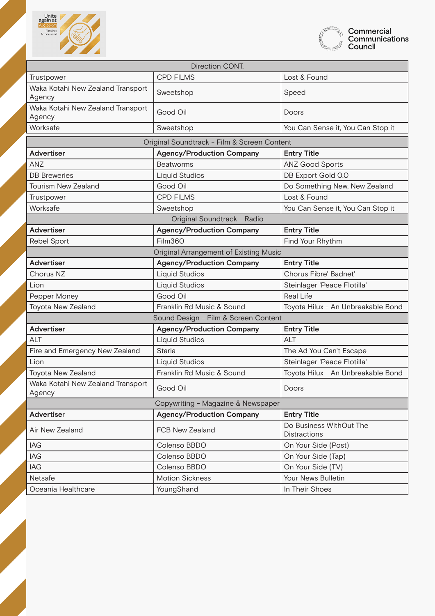



| <b>Direction CONT.</b>                      |                                             |                                                |
|---------------------------------------------|---------------------------------------------|------------------------------------------------|
| Trustpower                                  | <b>CPD FILMS</b>                            | Lost & Found                                   |
| Waka Kotahi New Zealand Transport<br>Agency | Sweetshop                                   | Speed                                          |
| Waka Kotahi New Zealand Transport<br>Agency | Good Oil                                    | Doors                                          |
| Worksafe                                    | Sweetshop                                   | You Can Sense it, You Can Stop it              |
|                                             | Original Soundtrack - Film & Screen Content |                                                |
| <b>Advertiser</b>                           | <b>Agency/Production Company</b>            | <b>Entry Title</b>                             |
| <b>ANZ</b>                                  | <b>Beatworms</b>                            | <b>ANZ Good Sports</b>                         |
| <b>DB</b> Breweries                         | <b>Liquid Studios</b>                       | DB Export Gold 0.0                             |
| <b>Tourism New Zealand</b>                  | Good Oil                                    | Do Something New, New Zealand                  |
| Trustpower                                  | <b>CPD FILMS</b>                            | Lost & Found                                   |
| Worksafe                                    | Sweetshop                                   | You Can Sense it, You Can Stop it              |
|                                             | Original Soundtrack - Radio                 |                                                |
| <b>Advertiser</b>                           | <b>Agency/Production Company</b>            | <b>Entry Title</b>                             |
| <b>Rebel Sport</b>                          | Film360                                     | Find Your Rhythm                               |
|                                             | Original Arrangement of Existing Music      |                                                |
| <b>Advertiser</b>                           | <b>Agency/Production Company</b>            | <b>Entry Title</b>                             |
| Chorus NZ                                   | <b>Liquid Studios</b>                       | Chorus Fibre' Badnet'                          |
| Lion                                        | <b>Liquid Studios</b>                       | Steinlager 'Peace Flotilla'                    |
| Pepper Money                                | Good Oil                                    | <b>Real Life</b>                               |
| Toyota New Zealand                          | Franklin Rd Music & Sound                   | Toyota Hilux - An Unbreakable Bond             |
| Sound Design - Film & Screen Content        |                                             |                                                |
| <b>Advertiser</b>                           | <b>Agency/Production Company</b>            | <b>Entry Title</b>                             |
| <b>ALT</b>                                  | <b>Liquid Studios</b>                       | <b>ALT</b>                                     |
| Fire and Emergency New Zealand              | Starla                                      | The Ad You Can't Escape                        |
| Lion                                        | <b>Liquid Studios</b>                       | Steinlager 'Peace Flotilla'                    |
| Toyota New Zealand                          | Franklin Rd Music & Sound                   | Toyota Hilux - An Unbreakable Bond             |
| Waka Kotahi New Zealand Transport<br>Agency | Good Oil                                    | Doors                                          |
| Copywriting - Magazine & Newspaper          |                                             |                                                |
| Advertiser                                  | <b>Agency/Production Company</b>            | <b>Entry Title</b>                             |
| Air New Zealand                             | FCB New Zealand                             | Do Business WithOut The<br><b>Distractions</b> |
| IAG                                         | Colenso BBDO                                | On Your Side (Post)                            |
| IAG                                         | Colenso BBDO                                | On Your Side (Tap)                             |
| IAG                                         | Colenso BBDO                                | On Your Side (TV)                              |
| Netsafe                                     | <b>Motion Sickness</b>                      | Your News Bulletin                             |
| Oceania Healthcare                          | YoungShand                                  | In Their Shoes                                 |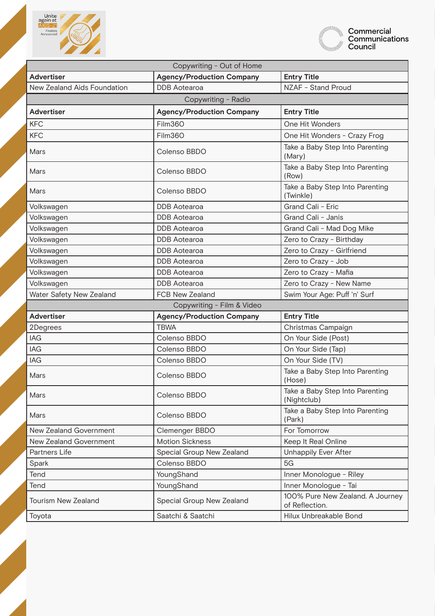



| Copywriting - Out of Home   |                                  |                                                    |
|-----------------------------|----------------------------------|----------------------------------------------------|
| <b>Advertiser</b>           | <b>Agency/Production Company</b> | <b>Entry Title</b>                                 |
| New Zealand Aids Foundation | <b>DDB</b> Aotearoa              | NZAF - Stand Proud                                 |
|                             | Copywriting - Radio              |                                                    |
| <b>Advertiser</b>           | <b>Agency/Production Company</b> | <b>Entry Title</b>                                 |
| <b>KFC</b>                  | Film360                          | One Hit Wonders                                    |
| <b>KFC</b>                  | Film360                          | One Hit Wonders - Crazy Frog                       |
| Mars                        | Colenso BBDO                     | Take a Baby Step Into Parenting<br>(Mary)          |
| Mars                        | Colenso BBDO                     | Take a Baby Step Into Parenting<br>(Row)           |
| Mars                        | Colenso BBDO                     | Take a Baby Step Into Parenting<br>(Twinkle)       |
| Volkswagen                  | <b>DDB</b> Aotearoa              | Grand Cali - Eric                                  |
| Volkswagen                  | <b>DDB</b> Aotearoa              | Grand Cali - Janis                                 |
| Volkswagen                  | <b>DDB</b> Aotearoa              | Grand Cali - Mad Dog Mike                          |
| Volkswagen                  | <b>DDB</b> Aotearoa              | Zero to Crazy - Birthday                           |
| Volkswagen                  | <b>DDB</b> Aotearoa              | Zero to Crazy - Girlfriend                         |
| Volkswagen                  | <b>DDB</b> Aotearoa              | Zero to Crazy - Job                                |
| Volkswagen                  | <b>DDB</b> Aotearoa              | Zero to Crazy - Mafia                              |
| Volkswagen                  | <b>DDB</b> Aotearoa              | Zero to Crazy - New Name                           |
| Water Safety New Zealand    | FCB New Zealand                  | Swim Your Age: Puff 'n' Surf                       |
|                             | Copywriting - Film & Video       |                                                    |
| <b>Advertiser</b>           | <b>Agency/Production Company</b> | <b>Entry Title</b>                                 |
| 2Degrees                    | <b>TBWA</b>                      | Christmas Campaign                                 |
| <b>IAG</b>                  | Colenso BBDO                     | On Your Side (Post)                                |
| <b>IAG</b>                  | Colenso BBDO                     | On Your Side (Tap)                                 |
| <b>IAG</b>                  | Colenso BBDO                     | On Your Side (TV)                                  |
| Mars                        | Colenso BBDO                     | Take a Baby Step Into Parenting<br>(Hose)          |
| Mars                        | Colenso BBDO                     | Take a Baby Step Into Parenting<br>(Nightclub)     |
| Mars                        | Colenso BBDO                     | Take a Baby Step Into Parenting<br>(Park)          |
| New Zealand Government      | Clemenger BBDO                   | For Tomorrow                                       |
| New Zealand Government      | <b>Motion Sickness</b>           | Keep It Real Online                                |
| Partners Life               | Special Group New Zealand        | Unhappily Ever After                               |
| Spark                       | Colenso BBDO                     | 5G                                                 |
| Tend                        | YoungShand                       | Inner Monologue - Riley                            |
| Tend                        | YoungShand                       | Inner Monologue - Tai                              |
| <b>Tourism New Zealand</b>  | Special Group New Zealand        | 100% Pure New Zealand. A Journey<br>of Reflection. |
| Toyota                      | Saatchi & Saatchi                | Hilux Unbreakable Bond                             |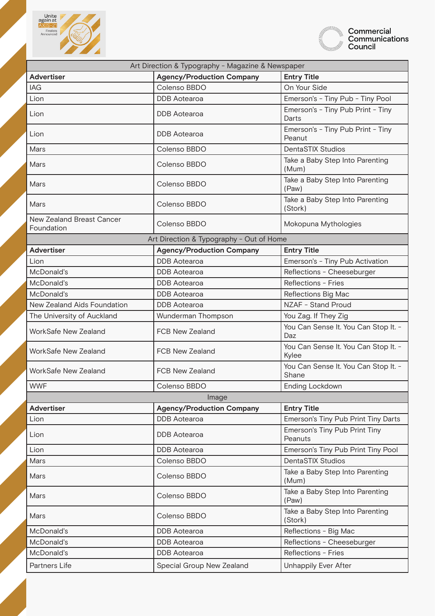



| Art Direction & Typography - Magazine & Newspaper |                                          |                                               |
|---------------------------------------------------|------------------------------------------|-----------------------------------------------|
| <b>Advertiser</b>                                 | <b>Agency/Production Company</b>         | <b>Entry Title</b>                            |
| <b>IAG</b>                                        | Colenso BBDO                             | On Your Side                                  |
| Lion                                              | <b>DDB</b> Aotearoa                      | Emerson's - Tiny Pub - Tiny Pool              |
| Lion                                              | <b>DDB</b> Aotearoa                      | Emerson's - Tiny Pub Print - Tiny<br>Darts    |
| Lion                                              | <b>DDB</b> Aotearoa                      | Emerson's - Tiny Pub Print - Tiny<br>Peanut   |
| Mars                                              | Colenso BBDO                             | <b>DentaSTIX Studios</b>                      |
| Mars                                              | Colenso BBDO                             | Take a Baby Step Into Parenting<br>(Mum)      |
| Mars                                              | Colenso BBDO                             | Take a Baby Step Into Parenting<br>(Paw)      |
| Mars                                              | Colenso BBDO                             | Take a Baby Step Into Parenting<br>(Stork)    |
| New Zealand Breast Cancer<br>Foundation           | Colenso BBDO                             | Mokopuna Mythologies                          |
|                                                   | Art Direction & Typography - Out of Home |                                               |
| <b>Advertiser</b>                                 | <b>Agency/Production Company</b>         | <b>Entry Title</b>                            |
| Lion                                              | <b>DDB</b> Aotearoa                      | Emerson's - Tiny Pub Activation               |
| McDonald's                                        | <b>DDB</b> Aotearoa                      | Reflections - Cheeseburger                    |
| McDonald's                                        | <b>DDB</b> Aotearoa                      | Reflections - Fries                           |
| McDonald's                                        | <b>DDB</b> Aotearoa                      | Reflections Big Mac                           |
| New Zealand Aids Foundation                       | <b>DDB</b> Aotearoa                      | NZAF - Stand Proud                            |
| The University of Auckland                        | Wunderman Thompson                       | You Zag. If They Zig                          |
| WorkSafe New Zealand                              | FCB New Zealand                          | You Can Sense It. You Can Stop It. -<br>Daz   |
| <b>WorkSafe New Zealand</b>                       | <b>FCB New Zealand</b>                   | You Can Sense It. You Can Stop It. -<br>Kylee |
| <b>WorkSafe New Zealand</b>                       | <b>FCB New Zealand</b>                   | You Can Sense It. You Can Stop It. -<br>Shane |
| <b>WWF</b>                                        | Colenso BBDO                             | <b>Ending Lockdown</b>                        |
|                                                   | Image                                    |                                               |
| <b>Advertiser</b>                                 | <b>Agency/Production Company</b>         | <b>Entry Title</b>                            |
| Lion                                              | <b>DDB</b> Aotearoa                      | Emerson's Tiny Pub Print Tiny Darts           |
| Lion                                              | <b>DDB</b> Aotearoa                      | Emerson's Tiny Pub Print Tiny<br>Peanuts      |
| Lion                                              | <b>DDB</b> Aotearoa                      | Emerson's Tiny Pub Print Tiny Pool            |
| Mars                                              | Colenso BBDO                             | <b>DentaSTIX Studios</b>                      |
| Mars                                              | Colenso BBDO                             | Take a Baby Step Into Parenting<br>(Mum)      |
| Mars                                              | Colenso BBDO                             | Take a Baby Step Into Parenting<br>(Paw)      |
| Mars                                              | Colenso BBDO                             | Take a Baby Step Into Parenting<br>(Stork)    |
| McDonald's                                        | <b>DDB</b> Aotearoa                      | Reflections - Big Mac                         |
| McDonald's                                        | <b>DDB</b> Aotearoa                      | Reflections - Cheeseburger                    |
| McDonald's                                        | <b>DDB</b> Aotearoa                      | Reflections - Fries                           |
| Partners Life                                     | Special Group New Zealand                | Unhappily Ever After                          |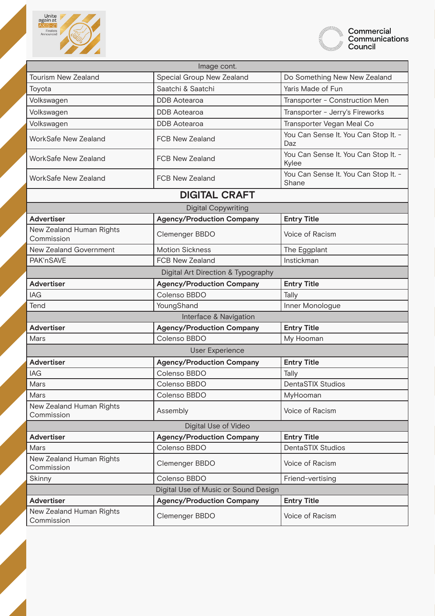



| Image cont.                            |                                      |                                               |
|----------------------------------------|--------------------------------------|-----------------------------------------------|
| <b>Tourism New Zealand</b>             | Special Group New Zealand            | Do Something New New Zealand                  |
| Toyota                                 | Saatchi & Saatchi                    | Yaris Made of Fun                             |
| Volkswagen                             | <b>DDB</b> Aotearoa                  | Transporter - Construction Men                |
| Volkswagen                             | <b>DDB</b> Aotearoa                  | Transporter - Jerry's Fireworks               |
| Volkswagen                             | <b>DDB</b> Aotearoa                  | Transporter Vegan Meal Co                     |
| WorkSafe New Zealand                   | <b>FCB New Zealand</b>               | You Can Sense It. You Can Stop It. -<br>Daz   |
| <b>WorkSafe New Zealand</b>            | <b>FCB New Zealand</b>               | You Can Sense It. You Can Stop It. -<br>Kylee |
| <b>WorkSafe New Zealand</b>            | <b>FCB New Zealand</b>               | You Can Sense It. You Can Stop It. -<br>Shane |
|                                        | <b>DIGITAL CRAFT</b>                 |                                               |
|                                        | <b>Digital Copywriting</b>           |                                               |
| <b>Advertiser</b>                      | <b>Agency/Production Company</b>     | <b>Entry Title</b>                            |
| New Zealand Human Rights<br>Commission | Clemenger BBDO                       | Voice of Racism                               |
| New Zealand Government                 | <b>Motion Sickness</b>               | The Eggplant                                  |
| PAK'nSAVE                              | <b>FCB New Zealand</b>               | Instickman                                    |
|                                        | Digital Art Direction & Typography   |                                               |
| <b>Advertiser</b>                      | <b>Agency/Production Company</b>     | <b>Entry Title</b>                            |
| <b>IAG</b>                             | Colenso BBDO                         | Tally                                         |
| Tend                                   | YoungShand                           | Inner Monologue                               |
|                                        | Interface & Navigation               |                                               |
| <b>Advertiser</b>                      | <b>Agency/Production Company</b>     | <b>Entry Title</b>                            |
| Mars                                   | Colenso BBDO                         | My Hooman                                     |
| <b>User Experience</b>                 |                                      |                                               |
| <b>Advertiser</b>                      | <b>Agency/Production Company</b>     | <b>Entry Title</b>                            |
| <b>IAG</b>                             | Colenso BBDO                         | Tally                                         |
| Mars                                   | Colenso BBDO                         | <b>DentaSTIX Studios</b>                      |
| Mars                                   | Colenso BBDO                         | MyHooman                                      |
| New Zealand Human Rights<br>Commission | Assembly                             | Voice of Racism                               |
| Digital Use of Video                   |                                      |                                               |
| <b>Advertiser</b>                      | <b>Agency/Production Company</b>     | <b>Entry Title</b>                            |
| Mars                                   | Colenso BBDO                         | <b>DentaSTIX Studios</b>                      |
| New Zealand Human Rights<br>Commission | Clemenger BBDO                       | Voice of Racism                               |
| Skinny                                 | Colenso BBDO                         | Friend-vertising                              |
|                                        | Digital Use of Music or Sound Design |                                               |
| <b>Advertiser</b>                      | <b>Agency/Production Company</b>     | <b>Entry Title</b>                            |
| New Zealand Human Rights<br>Commission | Clemenger BBDO                       | Voice of Racism                               |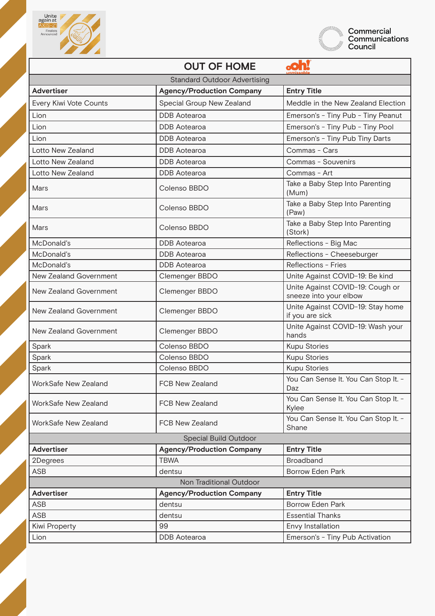



|                               | <b>OUT OF HOME</b>                  |                                                            |
|-------------------------------|-------------------------------------|------------------------------------------------------------|
|                               | <b>Standard Outdoor Advertising</b> |                                                            |
| <b>Advertiser</b>             | <b>Agency/Production Company</b>    | <b>Entry Title</b>                                         |
| Every Kiwi Vote Counts        | Special Group New Zealand           | Meddle in the New Zealand Election                         |
| Lion                          | <b>DDB</b> Aotearoa                 | Emerson's - Tiny Pub - Tiny Peanut                         |
| Lion                          | <b>DDB</b> Aotearoa                 | Emerson's - Tiny Pub - Tiny Pool                           |
| Lion                          | <b>DDB</b> Aotearoa                 | Emerson's - Tiny Pub Tiny Darts                            |
| Lotto New Zealand             | <b>DDB</b> Aotearoa                 | Commas - Cars                                              |
| Lotto New Zealand             | <b>DDB</b> Aotearoa                 | Commas - Souvenirs                                         |
| Lotto New Zealand             | <b>DDB</b> Aotearoa                 | Commas - Art                                               |
| Mars                          | Colenso BBDO                        | Take a Baby Step Into Parenting<br>(Mum)                   |
| Mars                          | Colenso BBDO                        | Take a Baby Step Into Parenting<br>(Paw)                   |
| Mars                          | Colenso BBDO                        | Take a Baby Step Into Parenting<br>(Stork)                 |
| McDonald's                    | <b>DDB</b> Aotearoa                 | Reflections - Big Mac                                      |
| McDonald's                    | <b>DDB</b> Aotearoa                 | Reflections - Cheeseburger                                 |
| McDonald's                    | <b>DDB</b> Aotearoa                 | Reflections - Fries                                        |
| New Zealand Government        | Clemenger BBDO                      | Unite Against COVID-19: Be kind                            |
| New Zealand Government        | Clemenger BBDO                      | Unite Against COVID-19: Cough or<br>sneeze into your elbow |
| New Zealand Government        | Clemenger BBDO                      | Unite Against COVID-19: Stay home<br>if you are sick       |
| <b>New Zealand Government</b> | Clemenger BBDO                      | Unite Against COVID-19: Wash your<br>hands                 |
| Spark                         | Colenso BBDO                        | <b>Kupu Stories</b>                                        |
| Spark                         | Colenso BBDO                        | <b>Kupu Stories</b>                                        |
| Spark                         | Colenso BBDO                        | <b>Kupu Stories</b>                                        |
| WorkSafe New Zealand          | <b>FCB New Zealand</b>              | You Can Sense It. You Can Stop It. -<br>Daz                |
| WorkSafe New Zealand          | <b>FCB New Zealand</b>              | You Can Sense It. You Can Stop It. -<br>Kylee              |
| WorkSafe New Zealand          | <b>FCB New Zealand</b>              | You Can Sense It. You Can Stop It. -<br>Shane              |
|                               | Special Build Outdoor               |                                                            |
| <b>Advertiser</b>             | <b>Agency/Production Company</b>    | <b>Entry Title</b>                                         |
| 2Degrees                      | <b>TBWA</b>                         | Broadband                                                  |
| ASB                           | dentsu                              | <b>Borrow Eden Park</b>                                    |
|                               | Non Traditional Outdoor             |                                                            |
| <b>Advertiser</b>             | <b>Agency/Production Company</b>    | <b>Entry Title</b>                                         |
| <b>ASB</b>                    | dentsu                              | <b>Borrow Eden Park</b>                                    |
| <b>ASB</b>                    | dentsu                              | <b>Essential Thanks</b>                                    |
| <b>Kiwi Property</b>          | 99                                  | Envy Installation                                          |
| Lion                          | <b>DDB</b> Aotearoa                 | Emerson's - Tiny Pub Activation                            |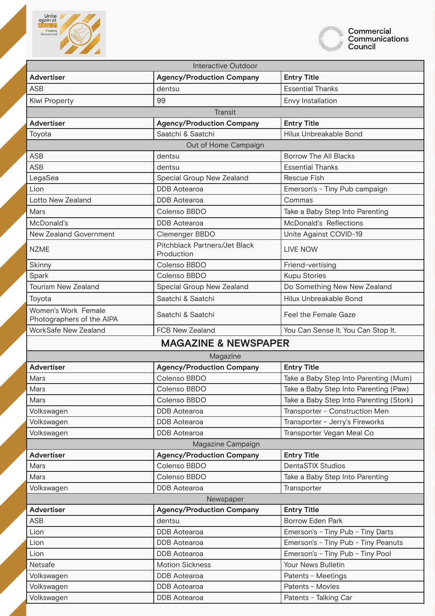



| Interactive Outdoor                              |                                             |                                         |
|--------------------------------------------------|---------------------------------------------|-----------------------------------------|
| <b>Advertiser</b>                                | <b>Agency/Production Company</b>            | <b>Entry Title</b>                      |
| <b>ASB</b>                                       | dentsu                                      | <b>Essential Thanks</b>                 |
| <b>Kiwi Property</b>                             | 99                                          | Envy Installation                       |
|                                                  | <b>Transit</b>                              |                                         |
| <b>Advertiser</b>                                | <b>Agency/Production Company</b>            | <b>Entry Title</b>                      |
| Toyota                                           | Saatchi & Saatchi                           | Hilux Unbreakable Bond                  |
|                                                  | Out of Home Campaign                        |                                         |
| <b>ASB</b>                                       | dentsu                                      | <b>Borrow The All Blacks</b>            |
| <b>ASB</b>                                       | dentsu                                      | <b>Essential Thanks</b>                 |
| LegaSea                                          | Special Group New Zealand                   | <b>Rescue Fish</b>                      |
| Lion                                             | <b>DDB</b> Aotearoa                         | Emerson's - Tiny Pub campaign           |
| Lotto New Zealand                                | <b>DDB</b> Aotearoa                         | Commas                                  |
| Mars                                             | Colenso BBDO                                | Take a Baby Step Into Parenting         |
| McDonald's                                       | <b>DDB</b> Aotearoa                         | McDonald's Reflections                  |
| New Zealand Government                           | Clemenger BBDO                              | Unite Against COVID-19                  |
| <b>NZME</b>                                      | Pitchblack Partners/Jet Black<br>Production | <b>LIVE NOW</b>                         |
| Skinny                                           | Colenso BBDO                                | Friend-vertising                        |
| Spark                                            | Colenso BBDO                                | <b>Kupu Stories</b>                     |
| <b>Tourism New Zealand</b>                       | Special Group New Zealand                   | Do Something New New Zealand            |
| Toyota                                           | Saatchi & Saatchi                           | Hilux Unbreakable Bond                  |
| Women's Work Female<br>Photographers of the AIPA | Saatchi & Saatchi                           | Feel the Female Gaze                    |
| WorkSafe New Zealand                             | FCB New Zealand                             | You Can Sense It. You Can Stop It.      |
|                                                  | <b>MAGAZINE &amp; NEWSPAPER</b>             |                                         |
|                                                  | Magazine                                    |                                         |
| <b>Advertiser</b>                                | <b>Agency/Production Company</b>            | <b>Entry Title</b>                      |
| Mars                                             | Colenso BBDO                                | Take a Baby Step Into Parenting (Mum)   |
| Mars                                             | Colenso BBDO                                | Take a Baby Step Into Parenting (Paw)   |
| Mars                                             | Colenso BBDO                                | Take a Baby Step Into Parenting (Stork) |
| Volkswagen                                       | <b>DDB</b> Aotearoa                         | Transporter - Construction Men          |
| Volkswagen                                       | <b>DDB</b> Aotearoa                         | Transporter - Jerry's Fireworks         |
| Volkswagen                                       | <b>DDB</b> Aotearoa                         | Transporter Vegan Meal Co               |
| Magazine Campaign                                |                                             |                                         |
| <b>Advertiser</b>                                | <b>Agency/Production Company</b>            | <b>Entry Title</b>                      |
| Mars                                             | Colenso BBDO                                | <b>DentaSTIX Studios</b>                |
| Mars                                             | Colenso BBDO                                | Take a Baby Step Into Parenting         |
| Volkswagen                                       | <b>DDB</b> Aotearoa                         | Transporter                             |
| Newspaper                                        |                                             |                                         |
| <b>Advertiser</b>                                | <b>Agency/Production Company</b>            | <b>Entry Title</b>                      |
| <b>ASB</b>                                       | dentsu                                      | <b>Borrow Eden Park</b>                 |
| Lion                                             | <b>DDB</b> Aotearoa                         | Emerson's - Tiny Pub - Tiny Darts       |
| Lion                                             | <b>DDB</b> Aotearoa                         | Emerson's - Tiny Pub - Tiny Peanuts     |
| Lion                                             | <b>DDB</b> Aotearoa                         | Emerson's - Tiny Pub - Tiny Pool        |
| Netsafe                                          | <b>Motion Sickness</b>                      | Your News Bulletin                      |
| Volkswagen                                       | <b>DDB</b> Aotearoa                         | Patents - Meetings                      |
| Volkswagen                                       | <b>DDB</b> Aotearoa                         | Patents - Movies                        |
| Volkswagen                                       | <b>DDB</b> Aotearoa                         | Patents - Talking Car                   |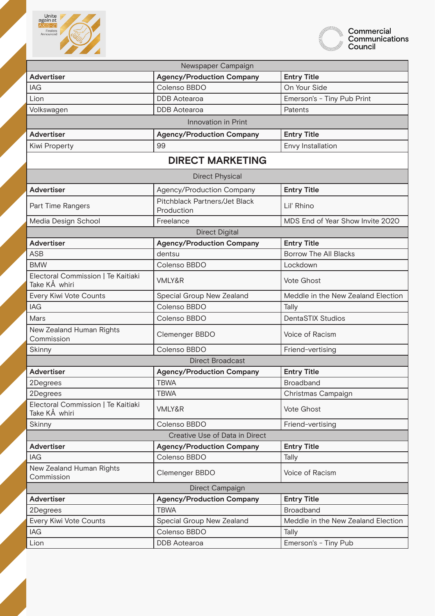



| Newspaper Campaign                                  |                                             |                                    |
|-----------------------------------------------------|---------------------------------------------|------------------------------------|
| <b>Advertiser</b>                                   | <b>Agency/Production Company</b>            | <b>Entry Title</b>                 |
| <b>IAG</b>                                          | Colenso BBDO                                | On Your Side                       |
| Lion                                                | <b>DDB</b> Aotearoa                         | Emerson's - Tiny Pub Print         |
| Volkswagen                                          | <b>DDB</b> Aotearoa                         | Patents                            |
|                                                     | Innovation in Print                         |                                    |
| <b>Advertiser</b>                                   | <b>Agency/Production Company</b>            | <b>Entry Title</b>                 |
| <b>Kiwi Property</b>                                | 99                                          | Envy Installation                  |
|                                                     | <b>DIRECT MARKETING</b>                     |                                    |
|                                                     | <b>Direct Physical</b>                      |                                    |
| <b>Advertiser</b>                                   | Agency/Production Company                   | <b>Entry Title</b>                 |
| Part Time Rangers                                   | Pitchblack Partners/Jet Black<br>Production | Lil' Rhino                         |
| Media Design School                                 | Freelance                                   | MDS End of Year Show Invite 2020   |
|                                                     | <b>Direct Digital</b>                       |                                    |
| <b>Advertiser</b>                                   | <b>Agency/Production Company</b>            | <b>Entry Title</b>                 |
| <b>ASB</b>                                          | dentsu                                      | <b>Borrow The All Blacks</b>       |
| <b>BMW</b>                                          | Colenso BBDO                                | Lockdown                           |
| Electoral Commission   Te Kaitiaki<br>Take KÅ whiri | <b>VMLY&amp;R</b>                           | <b>Vote Ghost</b>                  |
| Every Kiwi Vote Counts                              | Special Group New Zealand                   | Meddle in the New Zealand Election |
| <b>IAG</b>                                          | Colenso BBDO                                | Tally                              |
| Mars                                                | Colenso BBDO                                | <b>DentaSTIX Studios</b>           |
| New Zealand Human Rights<br>Commission              | Clemenger BBDO                              | Voice of Racism                    |
| Skinny                                              | Colenso BBDO                                | Friend-vertising                   |
|                                                     | <b>Direct Broadcast</b>                     |                                    |
| <b>Advertiser</b>                                   | <b>Agency/Production Company</b>            | <b>Entry Title</b>                 |
| 2Degrees                                            | <b>TBWA</b>                                 | Broadband                          |
| 2Degrees                                            | <b>TBWA</b>                                 | Christmas Campaign                 |
| Electoral Commission   Te Kaitiaki<br>Take KÅ whiri | <b>VMLY&amp;R</b>                           | Vote Ghost                         |
| Skinny                                              | Colenso BBDO                                | Friend-vertising                   |
| Creative Use of Data in Direct                      |                                             |                                    |
| <b>Advertiser</b>                                   | <b>Agency/Production Company</b>            | <b>Entry Title</b>                 |
| <b>IAG</b>                                          | Colenso BBDO                                | Tally                              |
| New Zealand Human Rights<br>Commission              | Clemenger BBDO                              | Voice of Racism                    |
| Direct Campaign                                     |                                             |                                    |
| <b>Advertiser</b>                                   | <b>Agency/Production Company</b>            | <b>Entry Title</b>                 |
| 2Degrees                                            | <b>TBWA</b>                                 | Broadband                          |
| Every Kiwi Vote Counts                              | Special Group New Zealand                   | Meddle in the New Zealand Election |
| IAG                                                 | Colenso BBDO                                | Tally                              |
| Lion                                                | <b>DDB</b> Aotearoa                         | Emerson's - Tiny Pub               |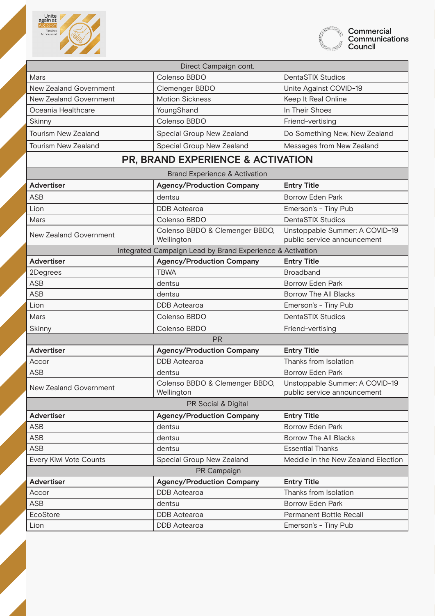



| Direct Campaign cont.      |                                                           |                                                               |
|----------------------------|-----------------------------------------------------------|---------------------------------------------------------------|
| Mars                       | Colenso BBDO                                              | <b>DentaSTIX Studios</b>                                      |
| New Zealand Government     | Clemenger BBDO                                            | Unite Against COVID-19                                        |
| New Zealand Government     | <b>Motion Sickness</b>                                    | Keep It Real Online                                           |
| Oceania Healthcare         | YoungShand                                                | In Their Shoes                                                |
| Skinny                     | Colenso BBDO                                              | Friend-vertising                                              |
| <b>Tourism New Zealand</b> | Special Group New Zealand                                 | Do Something New, New Zealand                                 |
| <b>Tourism New Zealand</b> | Special Group New Zealand                                 | Messages from New Zealand                                     |
|                            | <b>PR, BRAND EXPERIENCE &amp; ACTIVATION</b>              |                                                               |
|                            | <b>Brand Experience &amp; Activation</b>                  |                                                               |
| <b>Advertiser</b>          | <b>Agency/Production Company</b>                          | <b>Entry Title</b>                                            |
| <b>ASB</b>                 | dentsu                                                    | <b>Borrow Eden Park</b>                                       |
| Lion                       | <b>DDB</b> Aotearoa                                       | Emerson's - Tiny Pub                                          |
| Mars                       | Colenso BBDO                                              | <b>DentaSTIX Studios</b>                                      |
| New Zealand Government     | Colenso BBDO & Clemenger BBDO,<br>Wellington              | Unstoppable Summer: A COVID-19<br>public service announcement |
|                            | Integrated Campaign Lead by Brand Experience & Activation |                                                               |
| <b>Advertiser</b>          | <b>Agency/Production Company</b>                          | <b>Entry Title</b>                                            |
| 2Degrees                   | <b>TBWA</b>                                               | Broadband                                                     |
| <b>ASB</b>                 | dentsu                                                    | <b>Borrow Eden Park</b>                                       |
| <b>ASB</b>                 | dentsu                                                    | <b>Borrow The All Blacks</b>                                  |
| Lion                       | <b>DDB</b> Aotearoa                                       | Emerson's - Tiny Pub                                          |
| Mars                       | Colenso BBDO                                              | <b>DentaSTIX Studios</b>                                      |
| Skinny                     | Colenso BBDO                                              | Friend-vertising                                              |
|                            | <b>PR</b>                                                 |                                                               |
| <b>Advertiser</b>          | <b>Agency/Production Company</b>                          | <b>Entry Title</b>                                            |
| Accor                      | <b>DDB</b> Aotearoa                                       | Thanks from Isolation                                         |
| <b>ASB</b>                 | dentsu                                                    | <b>Borrow Eden Park</b>                                       |
| New Zealand Government     | Colenso BBDO & Clemenger BBDO,<br>Wellington              | Unstoppable Summer: A COVID-19<br>public service announcement |
| PR Social & Digital        |                                                           |                                                               |
| <b>Advertiser</b>          | <b>Agency/Production Company</b>                          | <b>Entry Title</b>                                            |
| <b>ASB</b>                 | dentsu                                                    | <b>Borrow Eden Park</b>                                       |
| <b>ASB</b>                 | dentsu                                                    | <b>Borrow The All Blacks</b>                                  |
| <b>ASB</b>                 | dentsu                                                    | <b>Essential Thanks</b>                                       |
| Every Kiwi Vote Counts     | Special Group New Zealand                                 | Meddle in the New Zealand Election                            |
| PR Campaign                |                                                           |                                                               |
| <b>Advertiser</b>          | <b>Agency/Production Company</b>                          | <b>Entry Title</b>                                            |
| Accor                      | <b>DDB</b> Aotearoa                                       | Thanks from Isolation                                         |
| ASB                        | dentsu                                                    | <b>Borrow Eden Park</b>                                       |
| EcoStore                   | <b>DDB</b> Aotearoa                                       | Permanent Bottle Recall                                       |
| Lion                       | <b>DDB</b> Aotearoa                                       | Emerson's - Tiny Pub                                          |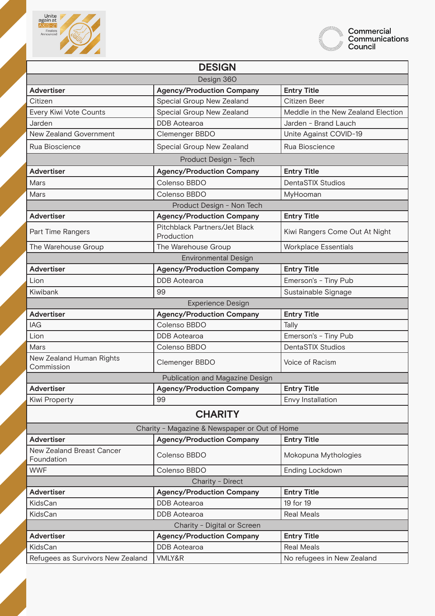



| <b>DESIGN</b>                           |                                               |                                    |
|-----------------------------------------|-----------------------------------------------|------------------------------------|
| Design 360                              |                                               |                                    |
| <b>Advertiser</b>                       | <b>Agency/Production Company</b>              | <b>Entry Title</b>                 |
| Citizen                                 | Special Group New Zealand                     | Citizen Beer                       |
| Every Kiwi Vote Counts                  | Special Group New Zealand                     | Meddle in the New Zealand Election |
| Jarden                                  | <b>DDB</b> Aotearoa                           | Jarden - Brand Lauch               |
| New Zealand Government                  | Clemenger BBDO                                | Unite Against COVID-19             |
| Rua Bioscience                          | Special Group New Zealand                     | Rua Bioscience                     |
|                                         | Product Design - Tech                         |                                    |
| <b>Advertiser</b>                       | <b>Agency/Production Company</b>              | <b>Entry Title</b>                 |
| Mars                                    | Colenso BBDO                                  | <b>DentaSTIX Studios</b>           |
| Mars                                    | Colenso BBDO                                  | MyHooman                           |
|                                         | Product Design - Non Tech                     |                                    |
| <b>Advertiser</b>                       | <b>Agency/Production Company</b>              | <b>Entry Title</b>                 |
| Part Time Rangers                       | Pitchblack Partners/Jet Black<br>Production   | Kiwi Rangers Come Out At Night     |
| The Warehouse Group                     | The Warehouse Group                           | <b>Workplace Essentials</b>        |
|                                         | <b>Environmental Design</b>                   |                                    |
| <b>Advertiser</b>                       | <b>Agency/Production Company</b>              | <b>Entry Title</b>                 |
| Lion                                    | <b>DDB</b> Aotearoa                           | Emerson's - Tiny Pub               |
| Kiwibank                                | 99                                            | Sustainable Signage                |
|                                         | <b>Experience Design</b>                      |                                    |
| <b>Advertiser</b>                       | <b>Agency/Production Company</b>              | <b>Entry Title</b>                 |
| <b>IAG</b>                              | Colenso BBDO                                  | Tally                              |
| Lion                                    | <b>DDB</b> Aotearoa                           | Emerson's - Tiny Pub               |
| Mars                                    | Colenso BBDO                                  | <b>DentaSTIX Studios</b>           |
| New Zealand Human Rights<br>Commission  | Clemenger BBDO                                | Voice of Racism                    |
|                                         | Publication and Magazine Design               |                                    |
| <b>Advertiser</b>                       | <b>Agency/Production Company</b>              | <b>Entry Title</b>                 |
| <b>Kiwi Property</b>                    | 99                                            | Envy Installation                  |
| <b>CHARITY</b>                          |                                               |                                    |
|                                         | Charity - Magazine & Newspaper or Out of Home |                                    |
| <b>Advertiser</b>                       | <b>Agency/Production Company</b>              | <b>Entry Title</b>                 |
| New Zealand Breast Cancer<br>Foundation | Colenso BBDO                                  | Mokopuna Mythologies               |
| <b>WWF</b>                              | Colenso BBDO                                  | <b>Ending Lockdown</b>             |
| Charity - Direct                        |                                               |                                    |
| <b>Advertiser</b>                       | <b>Agency/Production Company</b>              | <b>Entry Title</b>                 |
| KidsCan                                 | <b>DDB</b> Aotearoa                           | 19 for 19                          |
| KidsCan                                 | <b>DDB</b> Aotearoa                           | <b>Real Meals</b>                  |
| Charity - Digital or Screen             |                                               |                                    |
| <b>Advertiser</b>                       | <b>Agency/Production Company</b>              | <b>Entry Title</b>                 |
| KidsCan                                 | <b>DDB</b> Aotearoa                           | <b>Real Meals</b>                  |
| Refugees as Survivors New Zealand       | VMLY&R                                        | No refugees in New Zealand         |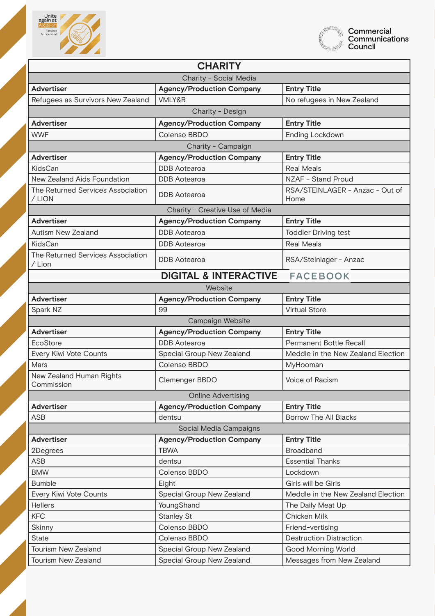



| <b>CHARITY</b>                              |                                  |                                         |
|---------------------------------------------|----------------------------------|-----------------------------------------|
| Charity - Social Media                      |                                  |                                         |
| <b>Advertiser</b>                           | <b>Agency/Production Company</b> | <b>Entry Title</b>                      |
| Refugees as Survivors New Zealand           | VMLY&R                           | No refugees in New Zealand              |
|                                             | Charity - Design                 |                                         |
| <b>Advertiser</b>                           | <b>Agency/Production Company</b> | <b>Entry Title</b>                      |
| <b>WWF</b>                                  | Colenso BBDO                     | Ending Lockdown                         |
|                                             | Charity - Campaign               |                                         |
| <b>Advertiser</b>                           | <b>Agency/Production Company</b> | <b>Entry Title</b>                      |
| KidsCan                                     | <b>DDB</b> Aotearoa              | <b>Real Meals</b>                       |
| New Zealand Aids Foundation                 | <b>DDB</b> Aotearoa              | NZAF - Stand Proud                      |
| The Returned Services Association<br>/LION  | <b>DDB</b> Aotearoa              | RSA/STEINLAGER - Anzac - Out of<br>Home |
|                                             | Charity - Creative Use of Media  |                                         |
| <b>Advertiser</b>                           | <b>Agency/Production Company</b> | <b>Entry Title</b>                      |
| <b>Autism New Zealand</b>                   | <b>DDB</b> Aotearoa              | <b>Toddler Driving test</b>             |
| KidsCan                                     | <b>DDB</b> Aotearoa              | <b>Real Meals</b>                       |
| The Returned Services Association<br>/ Lion | <b>DDB</b> Aotearoa              | RSA/Steinlager - Anzac                  |
|                                             | <b>DIGITAL &amp; INTERACTIVE</b> | <b>FACEBOOK</b>                         |
|                                             | Website                          |                                         |
| <b>Advertiser</b>                           | <b>Agency/Production Company</b> | <b>Entry Title</b>                      |
| Spark NZ                                    | 99                               | <b>Virtual Store</b>                    |
|                                             | Campaign Website                 |                                         |
| <b>Advertiser</b>                           | <b>Agency/Production Company</b> | <b>Entry Title</b>                      |
| EcoStore                                    | <b>DDB</b> Aotearoa              | <b>Permanent Bottle Recall</b>          |
| Every Kiwi Vote Counts                      | Special Group New Zealand        | Meddle in the New Zealand Election      |
| Mars                                        | Colenso BBDO                     | MyHooman                                |
| New Zealand Human Rights<br>Commission      | Clemenger BBDO                   | Voice of Racism                         |
|                                             | <b>Online Advertising</b>        |                                         |
| <b>Advertiser</b>                           | <b>Agency/Production Company</b> | <b>Entry Title</b>                      |
| ASB                                         | dentsu                           | <b>Borrow The All Blacks</b>            |
|                                             | Social Media Campaigns           |                                         |
| <b>Advertiser</b>                           | <b>Agency/Production Company</b> | <b>Entry Title</b>                      |
| 2Degrees                                    | <b>TBWA</b>                      | <b>Broadband</b>                        |
| <b>ASB</b>                                  | dentsu                           | <b>Essential Thanks</b>                 |
| <b>BMW</b>                                  | Colenso BBDO                     | Lockdown                                |
| <b>Bumble</b>                               | Eight                            | Girls will be Girls                     |
| Every Kiwi Vote Counts                      | Special Group New Zealand        | Meddle in the New Zealand Election      |
| <b>Hellers</b>                              | YoungShand                       | The Daily Meat Up                       |
| <b>KFC</b>                                  | <b>Stanley St</b>                | Chicken Milk                            |
| Skinny                                      | Colenso BBDO                     | Friend-vertising                        |
| <b>State</b>                                | Colenso BBDO                     | <b>Destruction Distraction</b>          |
| <b>Tourism New Zealand</b>                  | Special Group New Zealand        | <b>Good Morning World</b>               |
| Tourism New Zealand                         | Special Group New Zealand        | Messages from New Zealand               |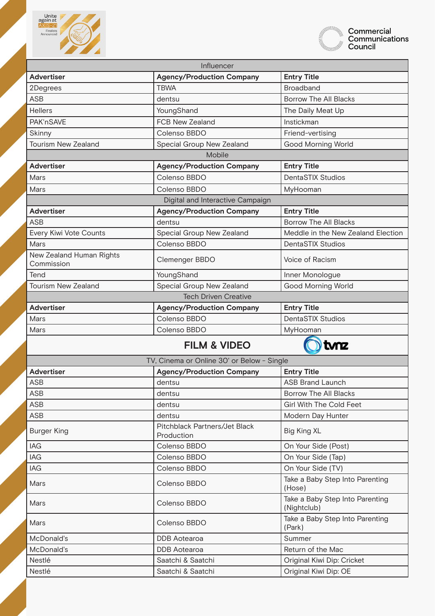



| Influencer                             |                                             |                                                |
|----------------------------------------|---------------------------------------------|------------------------------------------------|
| <b>Advertiser</b>                      | <b>Agency/Production Company</b>            | <b>Entry Title</b>                             |
| 2Degrees                               | <b>TBWA</b>                                 | <b>Broadband</b>                               |
| <b>ASB</b>                             | dentsu                                      | <b>Borrow The All Blacks</b>                   |
| <b>Hellers</b>                         | YoungShand                                  | The Daily Meat Up                              |
| PAK'nSAVE                              | FCB New Zealand                             | Instickman                                     |
| Skinny                                 | Colenso BBDO                                | Friend-vertising                               |
| <b>Tourism New Zealand</b>             | Special Group New Zealand                   | <b>Good Morning World</b>                      |
|                                        | Mobile                                      |                                                |
| <b>Advertiser</b>                      | <b>Agency/Production Company</b>            | <b>Entry Title</b>                             |
| Mars                                   | Colenso BBDO                                | <b>DentaSTIX Studios</b>                       |
| Mars                                   | Colenso BBDO                                | MyHooman                                       |
|                                        | Digital and Interactive Campaign            |                                                |
| <b>Advertiser</b>                      | <b>Agency/Production Company</b>            | <b>Entry Title</b>                             |
| <b>ASB</b>                             | dentsu                                      | <b>Borrow The All Blacks</b>                   |
| Every Kiwi Vote Counts                 | Special Group New Zealand                   | Meddle in the New Zealand Election             |
| Mars                                   | Colenso BBDO                                | <b>DentaSTIX Studios</b>                       |
| New Zealand Human Rights<br>Commission | Clemenger BBDO                              | Voice of Racism                                |
| Tend                                   | YoungShand                                  | Inner Monologue                                |
| <b>Tourism New Zealand</b>             | Special Group New Zealand                   | <b>Good Morning World</b>                      |
|                                        | <b>Tech Driven Creative</b>                 |                                                |
| <b>Advertiser</b>                      | <b>Agency/Production Company</b>            | <b>Entry Title</b>                             |
| Mars                                   | Colenso BBDO                                | <b>DentaSTIX Studios</b>                       |
| Mars                                   | Colenso BBDO                                | MyHooman                                       |
|                                        | <b>FILM &amp; VIDEO</b>                     | tvnz                                           |
|                                        | TV, Cinema or Online 30' or Below - Single  |                                                |
| <b>Advertiser</b>                      | <b>Agency/Production Company</b>            | <b>Entry Title</b>                             |
| <b>ASB</b>                             | dentsu                                      | <b>ASB Brand Launch</b>                        |
| <b>ASB</b>                             | dentsu                                      | <b>Borrow The All Blacks</b>                   |
| <b>ASB</b>                             | dentsu                                      | <b>Girl With The Cold Feet</b>                 |
| <b>ASB</b>                             | dentsu                                      | Modern Day Hunter                              |
| <b>Burger King</b>                     | Pitchblack Partners/Jet Black<br>Production | <b>Big King XL</b>                             |
| IAG                                    | Colenso BBDO                                | On Your Side (Post)                            |
| IAG                                    | Colenso BBDO                                | On Your Side (Tap)                             |
| IAG                                    | Colenso BBDO                                | On Your Side (TV)                              |
| Mars                                   | Colenso BBDO                                | Take a Baby Step Into Parenting<br>(Hose)      |
| Mars                                   | Colenso BBDO                                | Take a Baby Step Into Parenting<br>(Nightclub) |
| Mars                                   | Colenso BBDO                                | Take a Baby Step Into Parenting<br>(Park)      |
| McDonald's                             | <b>DDB</b> Aotearoa                         | Summer                                         |
| McDonald's                             | <b>DDB</b> Aotearoa                         | Return of the Mac                              |
| Nestlé                                 | Saatchi & Saatchi                           | Original Kiwi Dip: Cricket                     |
| Nestlé                                 | Saatchi & Saatchi                           | Original Kiwi Dip: OE                          |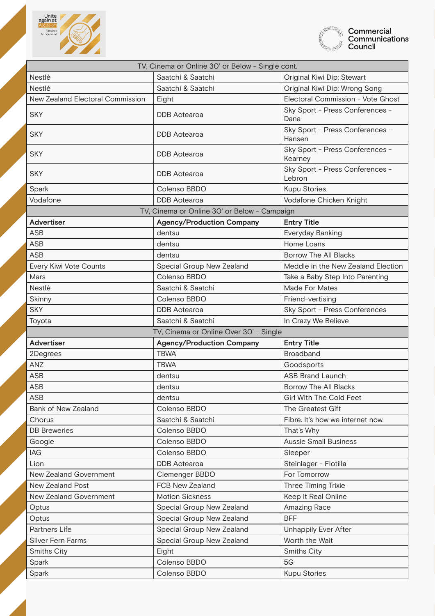



| TV, Cinema or Online 30' or Below - Single cont. |                                                        |                                            |
|--------------------------------------------------|--------------------------------------------------------|--------------------------------------------|
| Nestlé                                           | Saatchi & Saatchi                                      | Original Kiwi Dip: Stewart                 |
| Nestlé                                           | Saatchi & Saatchi                                      | Original Kiwi Dip: Wrong Song              |
| New Zealand Electoral Commission                 | Eight                                                  | Electoral Commission - Vote Ghost          |
| <b>SKY</b>                                       | <b>DDB</b> Aotearoa                                    | Sky Sport - Press Conferences -<br>Dana    |
| <b>SKY</b>                                       | <b>DDB</b> Aotearoa                                    | Sky Sport - Press Conferences -<br>Hansen  |
| <b>SKY</b>                                       | <b>DDB</b> Aotearoa                                    | Sky Sport - Press Conferences -<br>Kearney |
| <b>SKY</b>                                       | <b>DDB</b> Aotearoa                                    | Sky Sport - Press Conferences -<br>Lebron  |
| Spark                                            | Colenso BBDO                                           | <b>Kupu Stories</b>                        |
| Vodafone                                         | <b>DDB</b> Aotearoa                                    | Vodafone Chicken Knight                    |
|                                                  | TV, Cinema or Online 30' or Below - Campaign           |                                            |
| <b>Advertiser</b>                                | <b>Agency/Production Company</b>                       | <b>Entry Title</b>                         |
| <b>ASB</b>                                       | dentsu                                                 | Everyday Banking                           |
| <b>ASB</b>                                       | dentsu                                                 | Home Loans                                 |
| <b>ASB</b>                                       | dentsu                                                 | <b>Borrow The All Blacks</b>               |
| Every Kiwi Vote Counts                           | Special Group New Zealand                              | Meddle in the New Zealand Election         |
| Mars                                             | Colenso BBDO                                           | Take a Baby Step Into Parenting            |
| Nestlé                                           | Saatchi & Saatchi                                      | Made For Mates                             |
| Skinny                                           | Colenso BBDO                                           | Friend-vertising                           |
| <b>SKY</b>                                       | <b>DDB</b> Aotearoa                                    | Sky Sport - Press Conferences              |
| Toyota                                           | Saatchi & Saatchi                                      | In Crazy We Believe                        |
| TV, Cinema or Online Over 30' - Single           |                                                        |                                            |
|                                                  |                                                        |                                            |
| <b>Advertiser</b>                                | <b>Agency/Production Company</b>                       | <b>Entry Title</b>                         |
| 2Degrees                                         | <b>TBWA</b>                                            | <b>Broadband</b>                           |
| ANZ                                              | <b>TBWA</b>                                            | Goodsports                                 |
| <b>ASB</b>                                       | dentsu                                                 | <b>ASB Brand Launch</b>                    |
| <b>ASB</b>                                       | dentsu                                                 | Borrow The All Blacks                      |
| <b>ASB</b>                                       | dentsu                                                 | <b>Girl With The Cold Feet</b>             |
| Bank of New Zealand                              | Colenso BBDO                                           | The Greatest Gift                          |
| Chorus                                           | Saatchi & Saatchi                                      | Fibre. It's how we internet now.           |
| <b>DB</b> Breweries                              | Colenso BBDO                                           | That's Why                                 |
| Google                                           | Colenso BBDO                                           | <b>Aussie Small Business</b>               |
| IAG                                              | Colenso BBDO                                           | Sleeper                                    |
| Lion                                             | <b>DDB</b> Aotearoa                                    | Steinlager - Flotilla                      |
| New Zealand Government                           | Clemenger BBDO                                         | For Tomorrow                               |
| New Zealand Post                                 | FCB New Zealand                                        | Three Timing Trixie                        |
| New Zealand Government                           | <b>Motion Sickness</b>                                 |                                            |
| Optus                                            | Special Group New Zealand                              | Keep It Real Online<br>Amazing Race        |
|                                                  |                                                        | <b>BFF</b>                                 |
| Optus<br>Partners Life                           | Special Group New Zealand<br>Special Group New Zealand | <b>Unhappily Ever After</b>                |
| <b>Silver Fern Farms</b>                         | Special Group New Zealand                              | Worth the Wait                             |
| Smiths City                                      | Eight                                                  | Smiths City                                |
| Spark                                            | Colenso BBDO                                           | 5G                                         |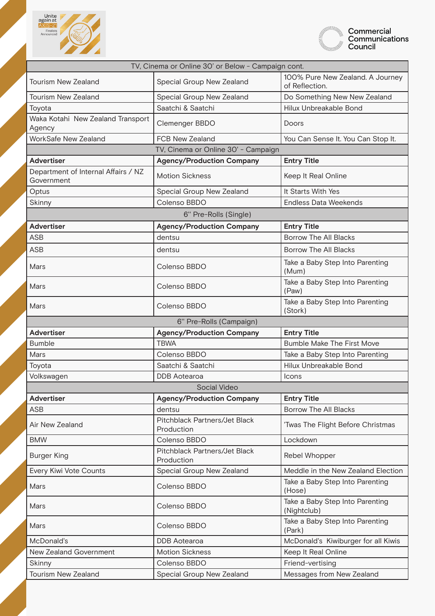



| TV, Cinema or Online 30' or Below - Campaign cont. |                                             |                                                    |
|----------------------------------------------------|---------------------------------------------|----------------------------------------------------|
| <b>Tourism New Zealand</b>                         | Special Group New Zealand                   | 100% Pure New Zealand. A Journey<br>of Reflection. |
| <b>Tourism New Zealand</b>                         | Special Group New Zealand                   | Do Something New New Zealand                       |
| Toyota                                             | Saatchi & Saatchi                           | Hilux Unbreakable Bond                             |
| Waka Kotahi New Zealand Transport<br>Agency        | Clemenger BBDO                              | Doors                                              |
| WorkSafe New Zealand                               | <b>FCB New Zealand</b>                      | You Can Sense It. You Can Stop It.                 |
|                                                    | TV, Cinema or Online 30' - Campaign         |                                                    |
| <b>Advertiser</b>                                  | <b>Agency/Production Company</b>            | <b>Entry Title</b>                                 |
| Department of Internal Affairs / NZ<br>Government  | <b>Motion Sickness</b>                      | Keep It Real Online                                |
| Optus                                              | Special Group New Zealand                   | It Starts With Yes                                 |
| Skinny                                             | Colenso BBDO                                | <b>Endless Data Weekends</b>                       |
|                                                    | 6" Pre-Rolls (Single)                       |                                                    |
| <b>Advertiser</b>                                  | <b>Agency/Production Company</b>            | <b>Entry Title</b>                                 |
| <b>ASB</b>                                         | dentsu                                      | <b>Borrow The All Blacks</b>                       |
| <b>ASB</b>                                         | dentsu                                      | <b>Borrow The All Blacks</b>                       |
| Mars                                               | Colenso BBDO                                | Take a Baby Step Into Parenting<br>(Mum)           |
| Mars                                               | Colenso BBDO                                | Take a Baby Step Into Parenting<br>(Paw)           |
| Mars                                               | Colenso BBDO                                | Take a Baby Step Into Parenting<br>(Stork)         |
|                                                    | 6" Pre-Rolls (Campaign)                     |                                                    |
| <b>Advertiser</b>                                  | <b>Agency/Production Company</b>            | <b>Entry Title</b>                                 |
| <b>Bumble</b>                                      | <b>TBWA</b>                                 | <b>Bumble Make The First Move</b>                  |
| Mars                                               | Colenso BBDO                                | Take a Baby Step Into Parenting                    |
| Toyota                                             | Saatchi & Saatchi                           | Hilux Unbreakable Bond                             |
| Volkswagen                                         | <b>DDB</b> Aotearoa                         | Icons                                              |
|                                                    | Social Video                                |                                                    |
| <b>Advertiser</b>                                  | <b>Agency/Production Company</b>            | <b>Entry Title</b>                                 |
| <b>ASB</b>                                         | dentsu                                      | <b>Borrow The All Blacks</b>                       |
| Air New Zealand                                    | Pitchblack Partners/Jet Black<br>Production | 'Twas The Flight Before Christmas                  |
| <b>BMW</b>                                         | Colenso BBDO                                | Lockdown                                           |
| <b>Burger King</b>                                 | Pitchblack Partners/Jet Black<br>Production | Rebel Whopper                                      |
| Every Kiwi Vote Counts                             | Special Group New Zealand                   | Meddle in the New Zealand Election                 |
| Mars                                               | Colenso BBDO                                | Take a Baby Step Into Parenting<br>(Hose)          |
| Mars                                               | Colenso BBDO                                | Take a Baby Step Into Parenting<br>(Nightclub)     |
| Mars                                               | Colenso BBDO                                | Take a Baby Step Into Parenting<br>(Park)          |
| McDonald's                                         | <b>DDB</b> Aotearoa                         | McDonald's Kiwiburger for all Kiwis                |
| New Zealand Government                             | <b>Motion Sickness</b>                      | Keep It Real Online                                |
| Skinny                                             | Colenso BBDO                                | Friend-vertising                                   |
| Tourism New Zealand                                | Special Group New Zealand                   | Messages from New Zealand                          |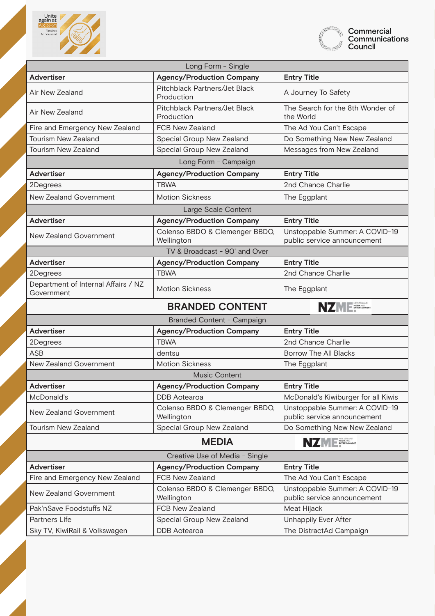



| Long Form - Single                                |                                                  |                                                               |
|---------------------------------------------------|--------------------------------------------------|---------------------------------------------------------------|
| <b>Advertiser</b>                                 | <b>Agency/Production Company</b>                 | <b>Entry Title</b>                                            |
| Air New Zealand                                   | Pitchblack Partners/Jet Black<br>Production      | A Journey To Safety                                           |
| Air New Zealand                                   | Pitchblack Partners/Jet Black<br>Production      | The Search for the 8th Wonder of<br>the World                 |
| Fire and Emergency New Zealand                    | <b>FCB New Zealand</b>                           | The Ad You Can't Escape                                       |
| <b>Tourism New Zealand</b>                        | Special Group New Zealand                        | Do Something New New Zealand                                  |
| <b>Tourism New Zealand</b>                        | Special Group New Zealand                        | Messages from New Zealand                                     |
| Long Form - Campaign                              |                                                  |                                                               |
| <b>Advertiser</b>                                 | <b>Agency/Production Company</b>                 | <b>Entry Title</b>                                            |
| 2Degrees                                          | <b>TBWA</b>                                      | 2nd Chance Charlie                                            |
| New Zealand Government                            | <b>Motion Sickness</b>                           | The Eggplant                                                  |
|                                                   | Large Scale Content                              |                                                               |
| <b>Advertiser</b>                                 | <b>Agency/Production Company</b>                 | <b>Entry Title</b>                                            |
| New Zealand Government                            | Colenso BBDO & Clemenger BBDO,<br>Wellington     | Unstoppable Summer: A COVID-19<br>public service announcement |
| TV & Broadcast - 90' and Over                     |                                                  |                                                               |
| <b>Advertiser</b>                                 | <b>Agency/Production Company</b>                 | <b>Entry Title</b>                                            |
| 2Degrees                                          | <b>TBWA</b>                                      | 2nd Chance Charlie                                            |
| Department of Internal Affairs / NZ<br>Government | <b>Motion Sickness</b>                           | The Eggplant                                                  |
|                                                   |                                                  |                                                               |
|                                                   | <b>BRANDED CONTENT</b>                           | <b>NZME</b>                                                   |
|                                                   | Branded Content - Campaign                       |                                                               |
| <b>Advertiser</b>                                 | <b>Agency/Production Company</b>                 | <b>Entry Title</b>                                            |
| 2Degrees                                          | <b>TBWA</b>                                      | 2nd Chance Charlie                                            |
| <b>ASB</b>                                        | dentsu                                           | <b>Borrow The All Blacks</b>                                  |
| New Zealand Government                            | <b>Motion Sickness</b>                           | The Eggplant                                                  |
|                                                   | <b>Music Content</b>                             |                                                               |
| <b>Advertiser</b>                                 | <b>Agency/Production Company</b>                 | <b>Entry Title</b>                                            |
| McDonald's                                        | <b>DDB</b> Aotearoa                              | McDonald's Kiwiburger for all Kiwis                           |
| New Zealand Government                            | Colenso BBDO & Clemenger BBDO,<br>Wellington     | Unstoppable Summer: A COVID-19<br>public service announcement |
| Tourism New Zealand                               | Special Group New Zealand                        | Do Something New New Zealand                                  |
|                                                   | <b>MEDIA</b>                                     | NZME ENTANGEMENT                                              |
|                                                   | Creative Use of Media - Single                   |                                                               |
| <b>Advertiser</b>                                 | <b>Agency/Production Company</b>                 | <b>Entry Title</b>                                            |
| Fire and Emergency New Zealand                    | FCB New Zealand                                  | The Ad You Can't Escape                                       |
| New Zealand Government                            | Colenso BBDO & Clemenger BBDO,<br>Wellington     | Unstoppable Summer: A COVID-19<br>public service announcement |
| Pak'nSave Foodstuffs NZ                           | FCB New Zealand                                  | Meat Hijack                                                   |
| Partners Life<br>Sky TV, KiwiRail & Volkswagen    | Special Group New Zealand<br><b>DDB</b> Aotearoa | <b>Unhappily Ever After</b><br>The DistractAd Campaign        |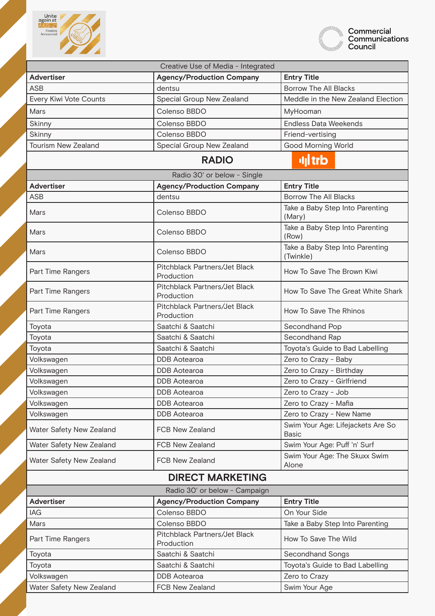



| Creative Use of Media - Integrated |                                             |                                                   |
|------------------------------------|---------------------------------------------|---------------------------------------------------|
| <b>Advertiser</b>                  | <b>Agency/Production Company</b>            | <b>Entry Title</b>                                |
| <b>ASB</b>                         | dentsu                                      | <b>Borrow The All Blacks</b>                      |
| Every Kiwi Vote Counts             | Special Group New Zealand                   | Meddle in the New Zealand Election                |
| Mars                               | Colenso BBDO                                | MyHooman                                          |
| Skinny                             | Colenso BBDO                                | <b>Endless Data Weekends</b>                      |
| Skinny                             | Colenso BBDO                                | Friend-vertising                                  |
| <b>Tourism New Zealand</b>         | Special Group New Zealand                   | <b>Good Morning World</b>                         |
|                                    | <b>RADIO</b>                                | <b>ull</b> trb                                    |
|                                    | Radio 30' or below - Single                 |                                                   |
| <b>Advertiser</b>                  | <b>Agency/Production Company</b>            | <b>Entry Title</b>                                |
| <b>ASB</b>                         | dentsu                                      | <b>Borrow The All Blacks</b>                      |
| Mars                               | Colenso BBDO                                | Take a Baby Step Into Parenting<br>(Mary)         |
| Mars                               | Colenso BBDO                                | Take a Baby Step Into Parenting<br>(Row)          |
| Mars                               | Colenso BBDO                                | Take a Baby Step Into Parenting<br>(Twinkle)      |
| Part Time Rangers                  | Pitchblack Partners/Jet Black<br>Production | How To Save The Brown Kiwi                        |
| Part Time Rangers                  | Pitchblack Partners/Jet Black<br>Production | How To Save The Great White Shark                 |
| Part Time Rangers                  | Pitchblack Partners/Jet Black<br>Production | How To Save The Rhinos                            |
| Toyota                             | Saatchi & Saatchi                           | Secondhand Pop                                    |
| Toyota                             | Saatchi & Saatchi                           | Secondhand Rap                                    |
| Toyota                             | Saatchi & Saatchi                           | Toyota's Guide to Bad Labelling                   |
| Volkswagen                         | <b>DDB</b> Aotearoa                         | Zero to Crazy - Baby                              |
| Volkswagen                         | <b>DDB</b> Aotearoa                         | Zero to Crazy - Birthday                          |
| Volkswagen                         | <b>DDB</b> Aotearoa                         | Zero to Crazy - Girlfriend                        |
| Volkswagen                         | <b>DDB</b> Aotearoa                         | Zero to Crazy - Job                               |
| Volkswagen                         | <b>DDB</b> Aotearoa                         | Zero to Crazy - Mafia                             |
| Volkswagen                         | <b>DDB</b> Aotearoa                         | Zero to Crazy - New Name                          |
| Water Safety New Zealand           | <b>FCB New Zealand</b>                      | Swim Your Age: Lifejackets Are So<br><b>Basic</b> |
| Water Safety New Zealand           | FCB New Zealand                             | Swim Your Age: Puff 'n' Surf                      |
| Water Safety New Zealand           | FCB New Zealand                             | Swim Your Age: The Skuxx Swim<br>Alone            |
| <b>DIRECT MARKETING</b>            |                                             |                                                   |
| Radio 30' or below - Campaign      |                                             |                                                   |
| <b>Advertiser</b>                  | <b>Agency/Production Company</b>            | <b>Entry Title</b>                                |
| <b>IAG</b>                         | Colenso BBDO                                | On Your Side                                      |
| Mars                               | Colenso BBDO                                | Take a Baby Step Into Parenting                   |
| Part Time Rangers                  | Pitchblack Partners/Jet Black<br>Production | How To Save The Wild                              |
| Toyota                             | Saatchi & Saatchi                           | Secondhand Songs                                  |
| Toyota                             | Saatchi & Saatchi                           | Toyota's Guide to Bad Labelling                   |
| Volkswagen                         | <b>DDB</b> Aotearoa                         | Zero to Crazy                                     |
| Water Safety New Zealand           | FCB New Zealand                             | Swim Your Age                                     |